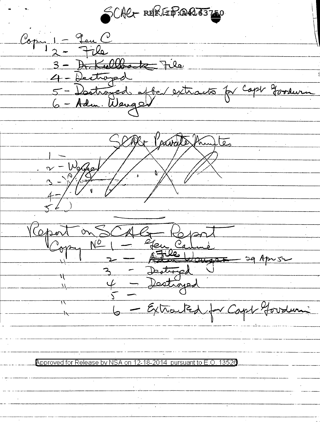SCACT REPERTIESTED  $\mathcal{C}_{\text{opt}} :=$ Leu ( Kulbatz File  $3 - \overline{R}$ 4 - Destroyed 5 - Doctroyed affer e Burn

<u>les</u>

 $\omega$  $\lambda$  $\sigma$ <u> 2 jeune Ca</u>  $L$ CH  $\leq 0$ stronged U  $\overline{3}$ ٦ţ

- Extracted

Approved for Release by NSA pursuant to E.O. 13520 12-18-2014 on.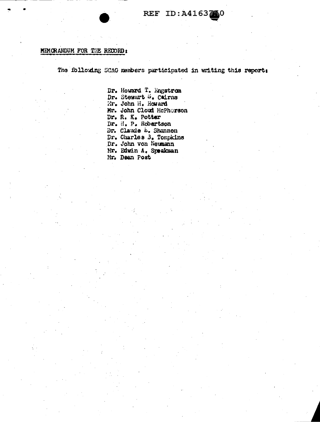## MEMORANDUM FOR THE RECORD:

The following SCAG members participated in writing this report:

Dr. Howard T. Engstrom Dr. Stewart S. Cairns Mr. John H. Howard Mr. John Cloud McPhorson Dr. R. K. Potter Dr. H. P. Robertson Dr. Claude L. Shannon Dr. Charles 3. Tompkins<br>Dr. John von Neumann Nr. Edwin A. Speakman Mr. Dean Post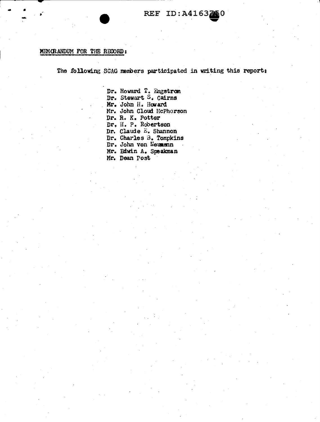## MEMORANDUM FOR THE RECORD:

The following SCAG members participated in writing this report:

Dr. Howard T. Engstrom<br>Dr. Stewart S. Cairns Mr. John H. Howard Mr. John Cloud McPherson Dr. R. K. Potter Dr. H. P. Robertson Dr. Claude E. Shannon Dr. Charles B. Tompkins Dr. John von Neumann Mr. Edwin A. Speakman Mr. Dean Post